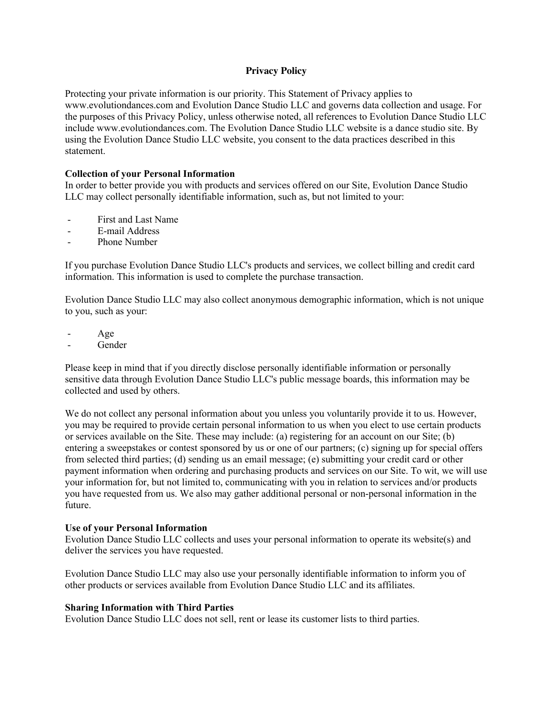## **Privacy Policy**

Protecting your private information is our priority. This Statement of Privacy applies to www.evolutiondances.com and Evolution Dance Studio LLC and governs data collection and usage. For the purposes of this Privacy Policy, unless otherwise noted, all references to Evolution Dance Studio LLC include www.evolutiondances.com. The Evolution Dance Studio LLC website is a dance studio site. By using the Evolution Dance Studio LLC website, you consent to the data practices described in this statement.

### **Collection of your Personal Information**

In order to better provide you with products and services offered on our Site, Evolution Dance Studio LLC may collect personally identifiable information, such as, but not limited to your:

- First and Last Name
- E-mail Address
- Phone Number

If you purchase Evolution Dance Studio LLC's products and services, we collect billing and credit card information. This information is used to complete the purchase transaction.

Evolution Dance Studio LLC may also collect anonymous demographic information, which is not unique to you, such as your:

- Age
- **Gender**

Please keep in mind that if you directly disclose personally identifiable information or personally sensitive data through Evolution Dance Studio LLC's public message boards, this information may be collected and used by others.

We do not collect any personal information about you unless you voluntarily provide it to us. However, you may be required to provide certain personal information to us when you elect to use certain products or services available on the Site. These may include: (a) registering for an account on our Site; (b) entering a sweepstakes or contest sponsored by us or one of our partners; (c) signing up for special offers from selected third parties; (d) sending us an email message; (e) submitting your credit card or other payment information when ordering and purchasing products and services on our Site. To wit, we will use your information for, but not limited to, communicating with you in relation to services and/or products you have requested from us. We also may gather additional personal or non-personal information in the future.

#### **Use of your Personal Information**

Evolution Dance Studio LLC collects and uses your personal information to operate its website(s) and deliver the services you have requested.

Evolution Dance Studio LLC may also use your personally identifiable information to inform you of other products or services available from Evolution Dance Studio LLC and its affiliates.

#### **Sharing Information with Third Parties**

Evolution Dance Studio LLC does not sell, rent or lease its customer lists to third parties.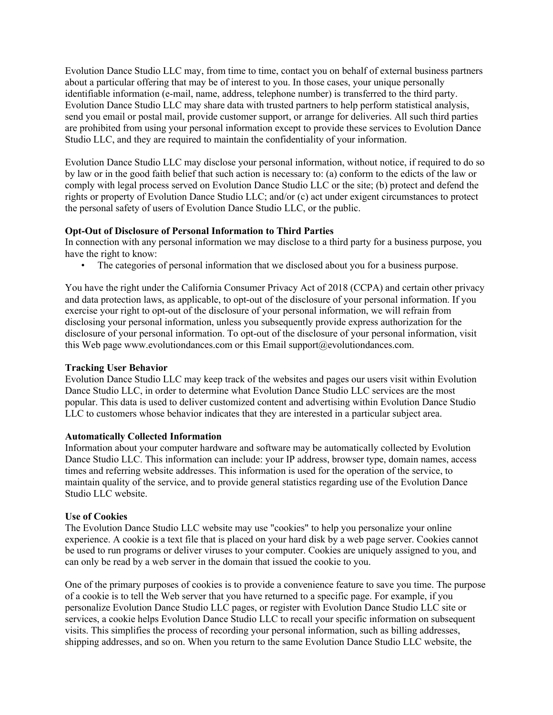Evolution Dance Studio LLC may, from time to time, contact you on behalf of external business partners about a particular offering that may be of interest to you. In those cases, your unique personally identifiable information (e-mail, name, address, telephone number) is transferred to the third party. Evolution Dance Studio LLC may share data with trusted partners to help perform statistical analysis, send you email or postal mail, provide customer support, or arrange for deliveries. All such third parties are prohibited from using your personal information except to provide these services to Evolution Dance Studio LLC, and they are required to maintain the confidentiality of your information.

Evolution Dance Studio LLC may disclose your personal information, without notice, if required to do so by law or in the good faith belief that such action is necessary to: (a) conform to the edicts of the law or comply with legal process served on Evolution Dance Studio LLC or the site; (b) protect and defend the rights or property of Evolution Dance Studio LLC; and/or (c) act under exigent circumstances to protect the personal safety of users of Evolution Dance Studio LLC, or the public.

## **Opt-Out of Disclosure of Personal Information to Third Parties**

In connection with any personal information we may disclose to a third party for a business purpose, you have the right to know:

• The categories of personal information that we disclosed about you for a business purpose.

You have the right under the California Consumer Privacy Act of 2018 (CCPA) and certain other privacy and data protection laws, as applicable, to opt-out of the disclosure of your personal information. If you exercise your right to opt-out of the disclosure of your personal information, we will refrain from disclosing your personal information, unless you subsequently provide express authorization for the disclosure of your personal information. To opt-out of the disclosure of your personal information, visit this Web page www.evolutiondances.com or this Email support@evolutiondances.com.

## **Tracking User Behavior**

Evolution Dance Studio LLC may keep track of the websites and pages our users visit within Evolution Dance Studio LLC, in order to determine what Evolution Dance Studio LLC services are the most popular. This data is used to deliver customized content and advertising within Evolution Dance Studio LLC to customers whose behavior indicates that they are interested in a particular subject area.

## **Automatically Collected Information**

Information about your computer hardware and software may be automatically collected by Evolution Dance Studio LLC. This information can include: your IP address, browser type, domain names, access times and referring website addresses. This information is used for the operation of the service, to maintain quality of the service, and to provide general statistics regarding use of the Evolution Dance Studio LLC website.

## **Use of Cookies**

The Evolution Dance Studio LLC website may use "cookies" to help you personalize your online experience. A cookie is a text file that is placed on your hard disk by a web page server. Cookies cannot be used to run programs or deliver viruses to your computer. Cookies are uniquely assigned to you, and can only be read by a web server in the domain that issued the cookie to you.

One of the primary purposes of cookies is to provide a convenience feature to save you time. The purpose of a cookie is to tell the Web server that you have returned to a specific page. For example, if you personalize Evolution Dance Studio LLC pages, or register with Evolution Dance Studio LLC site or services, a cookie helps Evolution Dance Studio LLC to recall your specific information on subsequent visits. This simplifies the process of recording your personal information, such as billing addresses, shipping addresses, and so on. When you return to the same Evolution Dance Studio LLC website, the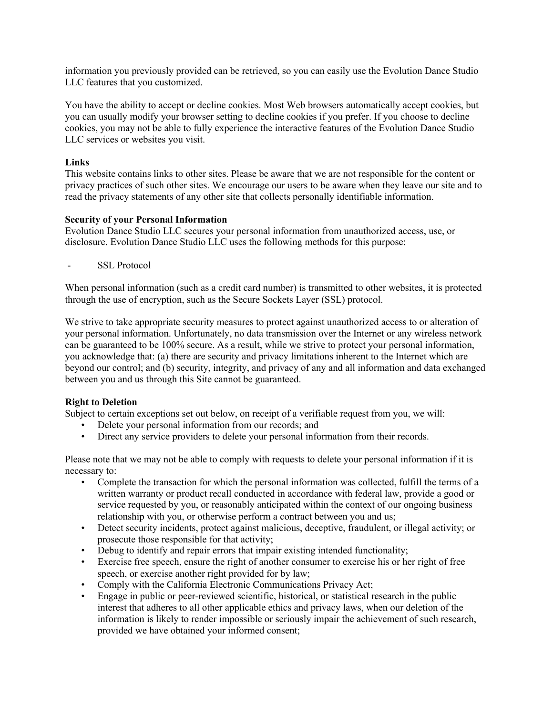information you previously provided can be retrieved, so you can easily use the Evolution Dance Studio LLC features that you customized.

You have the ability to accept or decline cookies. Most Web browsers automatically accept cookies, but you can usually modify your browser setting to decline cookies if you prefer. If you choose to decline cookies, you may not be able to fully experience the interactive features of the Evolution Dance Studio LLC services or websites you visit.

## **Links**

This website contains links to other sites. Please be aware that we are not responsible for the content or privacy practices of such other sites. We encourage our users to be aware when they leave our site and to read the privacy statements of any other site that collects personally identifiable information.

## **Security of your Personal Information**

Evolution Dance Studio LLC secures your personal information from unauthorized access, use, or disclosure. Evolution Dance Studio LLC uses the following methods for this purpose:

SSL Protocol

When personal information (such as a credit card number) is transmitted to other websites, it is protected through the use of encryption, such as the Secure Sockets Layer (SSL) protocol.

We strive to take appropriate security measures to protect against unauthorized access to or alteration of your personal information. Unfortunately, no data transmission over the Internet or any wireless network can be guaranteed to be 100% secure. As a result, while we strive to protect your personal information, you acknowledge that: (a) there are security and privacy limitations inherent to the Internet which are beyond our control; and (b) security, integrity, and privacy of any and all information and data exchanged between you and us through this Site cannot be guaranteed.

# **Right to Deletion**

Subject to certain exceptions set out below, on receipt of a verifiable request from you, we will:

- Delete your personal information from our records; and
- Direct any service providers to delete your personal information from their records.

Please note that we may not be able to comply with requests to delete your personal information if it is necessary to:

- Complete the transaction for which the personal information was collected, fulfill the terms of a written warranty or product recall conducted in accordance with federal law, provide a good or service requested by you, or reasonably anticipated within the context of our ongoing business relationship with you, or otherwise perform a contract between you and us;
- Detect security incidents, protect against malicious, deceptive, fraudulent, or illegal activity; or prosecute those responsible for that activity;
- Debug to identify and repair errors that impair existing intended functionality;
- Exercise free speech, ensure the right of another consumer to exercise his or her right of free speech, or exercise another right provided for by law;
- Comply with the California Electronic Communications Privacy Act;
- Engage in public or peer-reviewed scientific, historical, or statistical research in the public interest that adheres to all other applicable ethics and privacy laws, when our deletion of the information is likely to render impossible or seriously impair the achievement of such research, provided we have obtained your informed consent;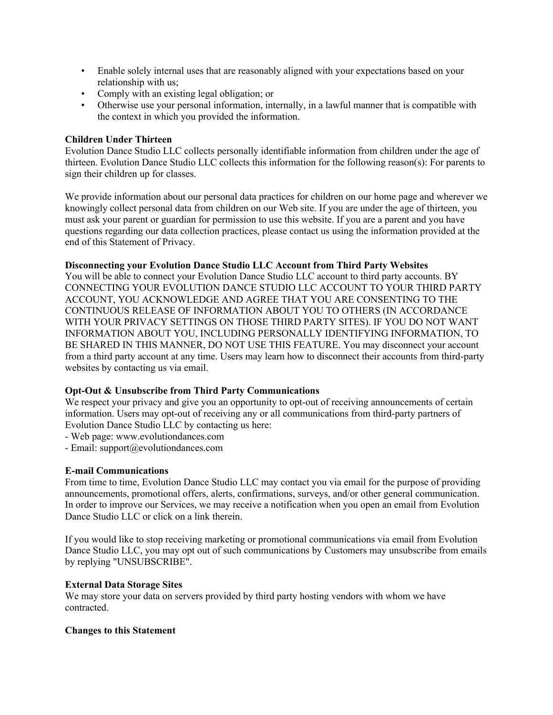- Enable solely internal uses that are reasonably aligned with your expectations based on your relationship with us;
- Comply with an existing legal obligation; or
- Otherwise use your personal information, internally, in a lawful manner that is compatible with the context in which you provided the information.

## **Children Under Thirteen**

Evolution Dance Studio LLC collects personally identifiable information from children under the age of thirteen. Evolution Dance Studio LLC collects this information for the following reason(s): For parents to sign their children up for classes.

We provide information about our personal data practices for children on our home page and wherever we knowingly collect personal data from children on our Web site. If you are under the age of thirteen, you must ask your parent or guardian for permission to use this website. If you are a parent and you have questions regarding our data collection practices, please contact us using the information provided at the end of this Statement of Privacy.

## **Disconnecting your Evolution Dance Studio LLC Account from Third Party Websites**

You will be able to connect your Evolution Dance Studio LLC account to third party accounts. BY CONNECTING YOUR EVOLUTION DANCE STUDIO LLC ACCOUNT TO YOUR THIRD PARTY ACCOUNT, YOU ACKNOWLEDGE AND AGREE THAT YOU ARE CONSENTING TO THE CONTINUOUS RELEASE OF INFORMATION ABOUT YOU TO OTHERS (IN ACCORDANCE WITH YOUR PRIVACY SETTINGS ON THOSE THIRD PARTY SITES). IF YOU DO NOT WANT INFORMATION ABOUT YOU, INCLUDING PERSONALLY IDENTIFYING INFORMATION, TO BE SHARED IN THIS MANNER, DO NOT USE THIS FEATURE. You may disconnect your account from a third party account at any time. Users may learn how to disconnect their accounts from third-party websites by contacting us via email.

## **Opt-Out & Unsubscribe from Third Party Communications**

We respect your privacy and give you an opportunity to opt-out of receiving announcements of certain information. Users may opt-out of receiving any or all communications from third-party partners of Evolution Dance Studio LLC by contacting us here:

- Web page: www.evolutiondances.com
- Email: support@evolutiondances.com

## **E-mail Communications**

From time to time, Evolution Dance Studio LLC may contact you via email for the purpose of providing announcements, promotional offers, alerts, confirmations, surveys, and/or other general communication. In order to improve our Services, we may receive a notification when you open an email from Evolution Dance Studio LLC or click on a link therein.

If you would like to stop receiving marketing or promotional communications via email from Evolution Dance Studio LLC, you may opt out of such communications by Customers may unsubscribe from emails by replying "UNSUBSCRIBE".

## **External Data Storage Sites**

We may store your data on servers provided by third party hosting vendors with whom we have contracted.

## **Changes to this Statement**